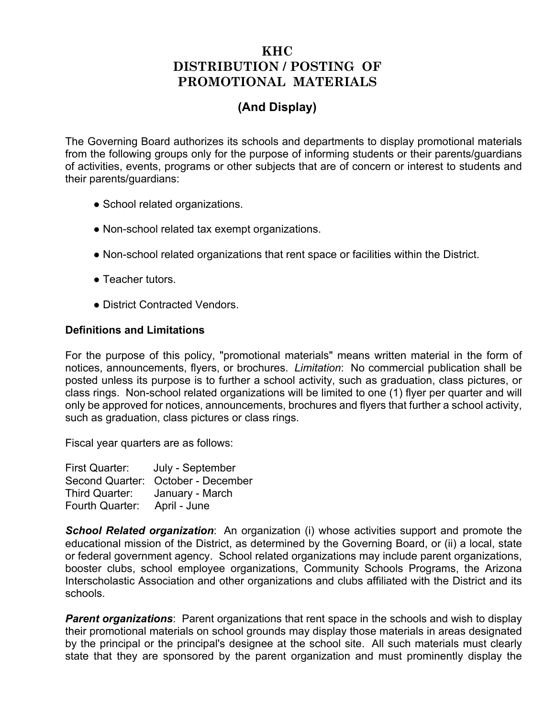## **KHC DISTRIBUTION / POSTING OF PROMOTIONAL MATERIALS**

## **(And Display)**

The Governing Board authorizes its schools and departments to display promotional materials from the following groups only for the purpose of informing students or their parents/guardians of activities, events, programs or other subjects that are of concern or interest to students and their parents/guardians:

- School related organizations.
- Non-school related tax exempt organizations.
- Non-school related organizations that rent space or facilities within the District.
- Teacher tutors.
- District Contracted Vendors.

## **Definitions and Limitations**

For the purpose of this policy, "promotional materials" means written material in the form of notices, announcements, flyers, or brochures. *Limitation*: No commercial publication shall be posted unless its purpose is to further a school activity, such as graduation, class pictures, or class rings. Non-school related organizations will be limited to one (1) flyer per quarter and will only be approved for notices, announcements, brochures and flyers that further a school activity, such as graduation, class pictures or class rings.

Fiscal year quarters are as follows:

| First Quarter:  | July - September                   |
|-----------------|------------------------------------|
|                 | Second Quarter: October - December |
| Third Quarter:  | January - March                    |
| Fourth Quarter: | April - June                       |

*School Related organization*: An organization (i) whose activities support and promote the educational mission of the District, as determined by the Governing Board, or (ii) a local, state or federal government agency. School related organizations may include parent organizations, booster clubs, school employee organizations, Community Schools Programs, the Arizona Interscholastic Association and other organizations and clubs affiliated with the District and its schools.

**Parent organizations**: Parent organizations that rent space in the schools and wish to display their promotional materials on school grounds may display those materials in areas designated by the principal or the principal's designee at the school site. All such materials must clearly state that they are sponsored by the parent organization and must prominently display the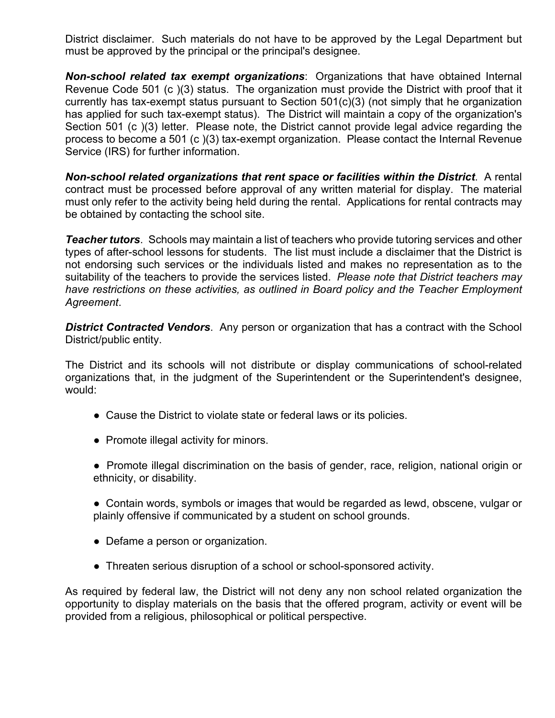District disclaimer. Such materials do not have to be approved by the Legal Department but must be approved by the principal or the principal's designee.

*Non-school related tax exempt organizations*: Organizations that have obtained Internal Revenue Code 501 (c )(3) status. The organization must provide the District with proof that it currently has tax-exempt status pursuant to Section 501(c)(3) (not simply that he organization has applied for such tax-exempt status). The District will maintain a copy of the organization's Section 501 (c )(3) letter. Please note, the District cannot provide legal advice regarding the process to become a 501 (c )(3) tax-exempt organization. Please contact the Internal Revenue Service (IRS) for further information.

*Non-school related organizations that rent space or facilities within the District*. A rental contract must be processed before approval of any written material for display. The material must only refer to the activity being held during the rental. Applications for rental contracts may be obtained by contacting the school site.

*Teacher tutors*. Schools may maintain a list of teachers who provide tutoring services and other types of after-school lessons for students. The list must include a disclaimer that the District is not endorsing such services or the individuals listed and makes no representation as to the suitability of the teachers to provide the services listed. *Please note that District teachers may have restrictions on these activities, as outlined in Board policy and the Teacher Employment Agreement*.

**District Contracted Vendors**. Any person or organization that has a contract with the School District/public entity.

The District and its schools will not distribute or display communications of school-related organizations that, in the judgment of the Superintendent or the Superintendent's designee, would:

- Cause the District to violate state or federal laws or its policies.
- Promote illegal activity for minors.
- Promote illegal discrimination on the basis of gender, race, religion, national origin or ethnicity, or disability.
- Contain words, symbols or images that would be regarded as lewd, obscene, vulgar or plainly offensive if communicated by a student on school grounds.
- Defame a person or organization.
- Threaten serious disruption of a school or school-sponsored activity.

As required by federal law, the District will not deny any non school related organization the opportunity to display materials on the basis that the offered program, activity or event will be provided from a religious, philosophical or political perspective.